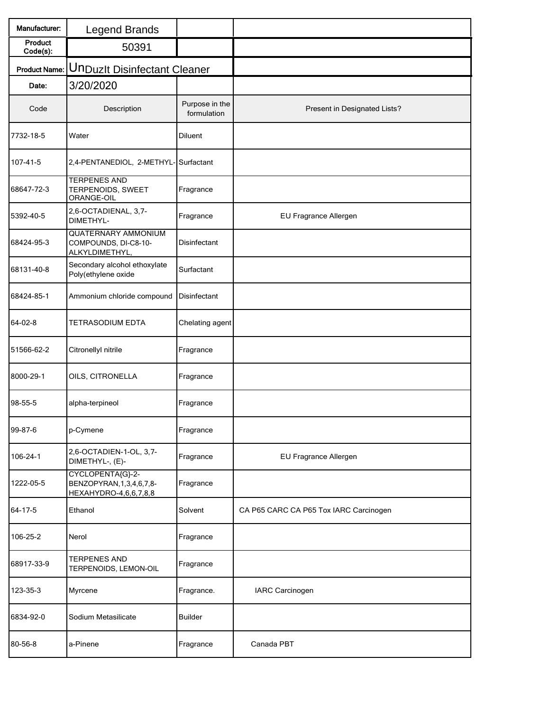| Manufacturer:        | <b>Legend Brands</b>                                                       |                               |                                        |
|----------------------|----------------------------------------------------------------------------|-------------------------------|----------------------------------------|
| Product<br>Code(s):  | 50391                                                                      |                               |                                        |
| <b>Product Name:</b> | <b>UnDuzlt Disinfectant Cleaner</b>                                        |                               |                                        |
| Date:                | 3/20/2020                                                                  |                               |                                        |
| Code                 | Description                                                                | Purpose in the<br>formulation | Present in Designated Lists?           |
| 7732-18-5            | Water                                                                      | Diluent                       |                                        |
| 107-41-5             | 2,4-PENTANEDIOL, 2-METHYL- Surfactant                                      |                               |                                        |
| 68647-72-3           | <b>TERPENES AND</b><br>TERPENOIDS, SWEET<br>ORANGE-OIL                     | Fragrance                     |                                        |
| 5392-40-5            | 2,6-OCTADIENAL, 3,7-<br>DIMETHYL-                                          | Fragrance                     | EU Fragrance Allergen                  |
| 68424-95-3           | <b>QUATERNARY AMMONIUM</b><br>COMPOUNDS, DI-C8-10-<br>ALKYLDIMETHYL,       | Disinfectant                  |                                        |
| 68131-40-8           | Secondary alcohol ethoxylate<br>Poly(ethylene oxide                        | Surfactant                    |                                        |
| 68424-85-1           | Ammonium chloride compound                                                 | Disinfectant                  |                                        |
| 64-02-8              | <b>TETRASODIUM EDTA</b>                                                    | Chelating agent               |                                        |
| 51566-62-2           | Citronellyl nitrile                                                        | Fragrance                     |                                        |
| 8000-29-1            | OILS, CITRONELLA                                                           | Fragrance                     |                                        |
| 98-55-5              | alpha-terpineol                                                            | Fragrance                     |                                        |
| 99-87-6              | p-Cymene                                                                   | Fragrance                     |                                        |
| 106-24-1             | 2,6-OCTADIEN-1-OL, 3,7-<br>DIMETHYL-, (E)-                                 | Fragrance                     | EU Fragrance Allergen                  |
| 1222-05-5            | CYCLOPENTA{G}-2-<br>BENZOPYRAN, 1, 3, 4, 6, 7, 8-<br>HEXAHYDRO-4,6,6,7,8,8 | Fragrance                     |                                        |
| 64-17-5              | Ethanol                                                                    | Solvent                       | CA P65 CARC CA P65 Tox IARC Carcinogen |
| 106-25-2             | Nerol                                                                      | Fragrance                     |                                        |
| 68917-33-9           | <b>TERPENES AND</b><br>TERPENOIDS, LEMON-OIL                               | Fragrance                     |                                        |
| 123-35-3             | Myrcene                                                                    | Fragrance.                    | <b>IARC Carcinogen</b>                 |
| 6834-92-0            | Sodium Metasilicate                                                        | <b>Builder</b>                |                                        |
| 80-56-8              | a-Pinene                                                                   | Fragrance                     | Canada PBT                             |